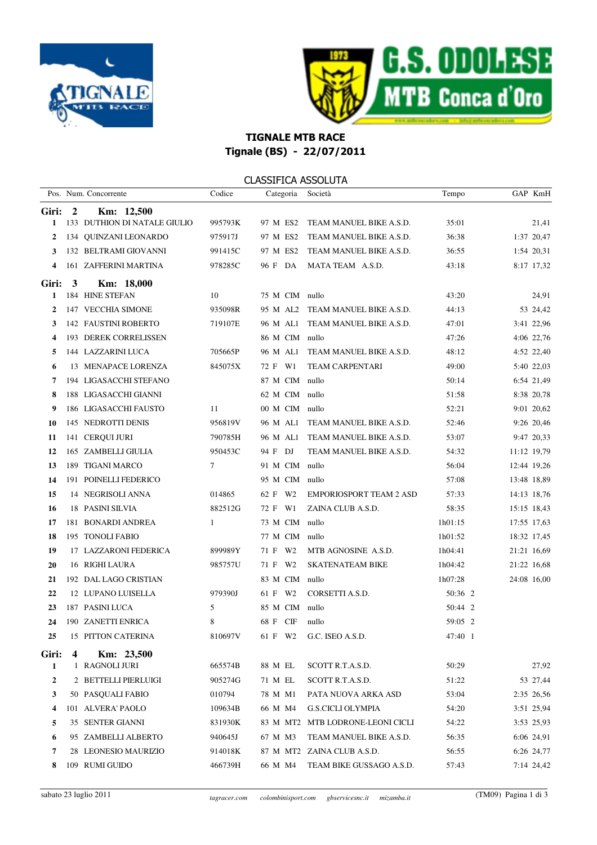



## TIGNALE MTB RACE Tignale (BS) - 22/07/2011

### CLASSIFICA ASSOLUTA

|              |                         | Pos. Num. Concorrente        | Codice  | Categoria      | Società                        | Tempo   | GAP KmH     |
|--------------|-------------------------|------------------------------|---------|----------------|--------------------------------|---------|-------------|
| Giri:        | $\boldsymbol{2}$        | Km: 12,500                   |         |                |                                |         |             |
| 1            |                         | 133 DUTHION DI NATALE GIULIO | 995793K | 97 M ES2       | TEAM MANUEL BIKE A.S.D.        | 35:01   | 21,41       |
| $\mathbf{2}$ |                         | 134 QUINZANI LEONARDO        | 975917J | 97 M ES2       | TEAM MANUEL BIKE A.S.D.        | 36:38   | 1:37 20,47  |
| 3            |                         | 132 BELTRAMI GIOVANNI        | 991415C | 97 M ES2       | TEAM MANUEL BIKE A.S.D.        | 36:55   | 1:54 20,31  |
| 4            |                         | 161 ZAFFERINI MARTINA        | 978285C | 96 F DA        | MATA TEAM A.S.D.               | 43:18   | 8:17 17,32  |
| Giri:        | 3                       | Km: 18,000                   |         |                |                                |         |             |
| 1            |                         | 184 HINE STEFAN              | 10      | 75 M CIM nullo |                                | 43:20   | 24,91       |
| 2            |                         | 147 VECCHIA SIMONE           | 935098R | 95 M AL2       | TEAM MANUEL BIKE A.S.D.        | 44:13   | 53 24,42    |
| 3            |                         | 142 FAUSTINI ROBERTO         | 719107E | 96 M AL1       | TEAM MANUEL BIKE A.S.D.        | 47:01   | 3:41 22,96  |
| 4            |                         | 193 DEREK CORRELISSEN        |         | 86 M CIM nullo |                                | 47:26   | 4:06 22,76  |
| 5            |                         | 144 LAZZARINI LUCA           | 705665P | 96 M AL1       | TEAM MANUEL BIKE A.S.D.        | 48:12   | 4:52 22,40  |
| 6            |                         | 13 MENAPACE LORENZA          | 845075X | 72 F W1        | <b>TEAM CARPENTARI</b>         | 49:00   | 5:40 22,03  |
| 7            |                         | 194 LIGASACCHI STEFANO       |         | 87 M CIM       | nullo                          | 50:14   | 6:54 21,49  |
| 8            |                         | 188 LIGASACCHI GIANNI        |         | 62 M CIM nullo |                                | 51:58   | 8:38 20,78  |
| 9            |                         | 186 LIGASACCHI FAUSTO        | 11      | 00 M CIM nullo |                                | 52:21   | 9:01 20,62  |
| 10           |                         | 145 NEDROTTI DENIS           | 956819V | 96 M AL1       | TEAM MANUEL BIKE A.S.D.        | 52:46   | 9:26 20,46  |
| 11           |                         | 141 CERQUI JURI              | 790785H | 96 M AL1       | TEAM MANUEL BIKE A.S.D.        | 53:07   | 9:47 20,33  |
| 12           |                         | 165 ZAMBELLI GIULIA          | 950453C | 94 F DJ        | TEAM MANUEL BIKE A.S.D.        | 54:32   | 11:12 19,79 |
| 13           |                         | 189 TIGANI MARCO             | $\tau$  | 91 M CIM       | nullo                          | 56:04   | 12:44 19,26 |
| 14           |                         | 191 POINELLI FEDERICO        |         | 95 M CIM nullo |                                | 57:08   | 13:48 18,89 |
| 15           |                         | 14 NEGRISOLI ANNA            | 014865  | 62 F W2        | <b>EMPORIOSPORT TEAM 2 ASD</b> | 57:33   | 14:13 18,76 |
| 16           |                         | 18 PASINI SILVIA             | 882512G | 72 F W1        | ZAINA CLUB A.S.D.              | 58:35   | 15:15 18,43 |
| 17           |                         | 181 BONARDI ANDREA           | 1       | 73 M CIM       | nullo                          | 1h01:15 | 17:55 17,63 |
| 18           |                         | 195 TONOLI FABIO             |         | 77 M CIM nullo |                                | 1h01:52 | 18:32 17,45 |
| 19           |                         | 17 LAZZARONI FEDERICA        | 899989Y | 71 F W2        | MTB AGNOSINE A.S.D.            | 1h04:41 | 21:21 16,69 |
| 20           |                         | 16 RIGHI LAURA               | 985757U | 71 F W2        | <b>SKATENATEAM BIKE</b>        | 1h04:42 | 21:22 16,68 |
| 21           |                         | 192 DAL LAGO CRISTIAN        |         | 83 M CIM nullo |                                | 1h07:28 | 24:08 16,00 |
| 22           |                         | 12 LUPANO LUISELLA           | 979390J | 61 F W2        | CORSETTI A.S.D.                | 50:36 2 |             |
| 23           |                         | 187 PASINI LUCA              | 5       | 85 M CIM       | nullo                          | 50:44 2 |             |
| 24           |                         | 190 ZANETTI ENRICA           | 8       | 68 F CIF       | nullo                          | 59:05 2 |             |
| 25           |                         | 15 PITTON CATERINA           | 810697V | 61 F W2        | G.C. ISEO A.S.D.               | 47:40 1 |             |
| Giri:        | $\overline{\mathbf{4}}$ | Km: 23,500                   |         |                |                                |         |             |
| $\mathbf{1}$ |                         | 1 RAGNOLI JURI               | 665574B | 88 M EL        | SCOTT R.T.A.S.D.               | 50:29   | 27,92       |
| 2            |                         | 2 BETTELLI PIERLUIGI         | 905274G | 71 M EL        | SCOTT R.T.A.S.D.               | 51:22   | 53 27,44    |
| 3            |                         | 50 PASQUALI FABIO            | 010794  | 78 M M1        | PATA NUOVA ARKA ASD            | 53:04   | 2:35 26,56  |
| 4            |                         | 101 ALVERA' PAOLO            | 109634B | 66 M M4        | <b>G.S.CICLI OLYMPIA</b>       | 54:20   | 3:51 25,94  |
| 5            |                         | 35 SENTER GIANNI             | 831930K | 83 M MT2       | MTB LODRONE-LEONI CICLI        | 54:22   | 3:53 25,93  |
| 6            |                         | 95 ZAMBELLI ALBERTO          | 940645J | 67 M M3        | TEAM MANUEL BIKE A.S.D.        | 56:35   | 6:06 24,91  |
| 7            |                         | 28 LEONESIO MAURIZIO         | 914018K |                | 87 M MT2 ZAINA CLUB A.S.D.     | 56:55   | 6:26 24,77  |
| 8            |                         | 109 RUMI GUIDO               | 466739H | 66 M M4        | TEAM BIKE GUSSAGO A.S.D.       | 57:43   | 7:14 24,42  |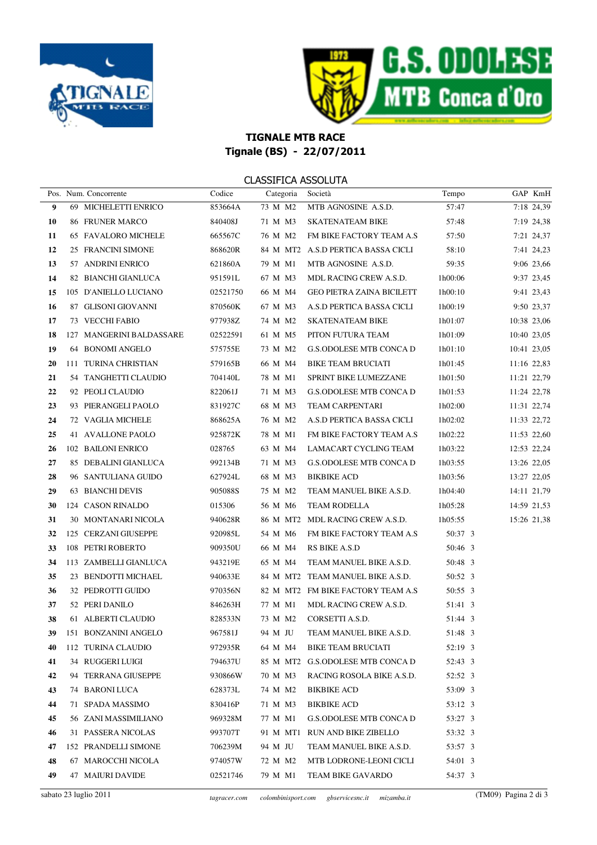



# TIGNALE MTB RACE Tignale (BS) - 22/07/2011

### CLASSIFICA ASSOLUTA

|    |                          |          | <u>CD 1991 ICM 1990LOTM</u> |                                    |         |             |             |
|----|--------------------------|----------|-----------------------------|------------------------------------|---------|-------------|-------------|
|    | Pos. Num. Concorrente    | Codice   | Categoria Società           |                                    | Tempo   |             | GAP KmH     |
| 9  | 69 MICHELETTI ENRICO     | 853664A  | 73 M M2                     | MTB AGNOSINE A.S.D.                | 57:47   |             | 7:18 24,39  |
| 10 | 86 FRUNER MARCO          | 840408J  | 71 M M3                     | SKATENATEAM BIKE                   | 57:48   |             | 7:19 24,38  |
| 11 | 65 FAVALORO MICHELE      | 665567C  | 76 M M2                     | FM BIKE FACTORY TEAM A.S           | 57:50   |             | 7:21 24,37  |
| 12 | 25 FRANCINI SIMONE       | 868620R  |                             | 84 M MT2 A.S.D PERTICA BASSA CICLI | 58:10   |             | 7:41 24,23  |
| 13 | 57 ANDRINI ENRICO        | 621860A  | 79 M M1                     | MTB AGNOSINE A.S.D.                | 59:35   |             | 9:06 23,66  |
| 14 | 82 BIANCHI GIANLUCA      | 951591L  | 67 M M3                     | MDL RACING CREW A.S.D.             | 1h00:06 |             | 9:37 23,45  |
| 15 | 105 D'ANIELLO LUCIANO    | 02521750 | 66 M M4                     | <b>GEO PIETRA ZAINA BICILETT</b>   | 1h00:10 |             | 9:41 23,43  |
| 16 | 87 GLISONI GIOVANNI      | 870560K  | 67 M M3                     | A.S.D PERTICA BASSA CICLI          | 1h00:19 |             | 9:50 23,37  |
| 17 | 73 VECCHI FABIO          | 977938Z  | 74 M M2                     | SKATENATEAM BIKE                   | 1h01:07 | 10:38 23,06 |             |
| 18 | 127 MANGERINI BALDASSARE | 02522591 | 61 M M5                     | PITON FUTURA TEAM                  | 1h01:09 |             | 10:40 23,05 |
| 19 | 64 BONOMI ANGELO         | 575755E  | 73 M M2                     | G.S.ODOLESE MTB CONCA D            | 1h01:10 |             | 10:41 23,05 |
| 20 | 111 TURINA CHRISTIAN     | 579165B  | 66 M M4                     | BIKE TEAM BRUCIATI                 | 1h01:45 |             | 11:16 22,83 |
| 21 | 54 TANGHETTI CLAUDIO     | 704140L  | 78 M M1                     | SPRINT BIKE LUMEZZANE              | 1h01:50 |             | 11:21 22,79 |
| 22 | 92 PEOLI CLAUDIO         | 822061J  | 71 M M3                     | <b>G.S.ODOLESE MTB CONCA D</b>     | 1h01:53 | 11:24 22,78 |             |
| 23 | 93 PIERANGELI PAOLO      | 831927C  | 68 M M3                     | TEAM CARPENTARI                    | 1h02:00 | 11:31 22,74 |             |
| 24 | 72 VAGLIA MICHELE        | 868625A  | 76 M M2                     | A.S.D PERTICA BASSA CICLI          | 1h02:02 | 11:33 22,72 |             |
| 25 | 41 AVALLONE PAOLO        | 925872K  | 78 M M1                     | FM BIKE FACTORY TEAM A.S           | 1h02:22 |             | 11:53 22,60 |
| 26 | 102 BAILONI ENRICO       | 028765   | 63 M M4                     | LAMACART CYCLING TEAM              | 1h03:22 | 12:53 22,24 |             |
| 27 | 85 DEBALINI GIANLUCA     | 992134B  | 71 M M3                     | <b>G.S.ODOLESE MTB CONCA D</b>     | 1h03:55 | 13:26 22,05 |             |
| 28 | 96 SANTULIANA GUIDO      | 627924L  | 68 M M3                     | BIKBIKE ACD                        | 1h03:56 |             | 13:27 22,05 |
| 29 | 63 BIANCHI DEVIS         | 905088S  | 75 M M2                     | TEAM MANUEL BIKE A.S.D.            | 1h04:40 |             | 14:11 21,79 |
| 30 | 124 CASON RINALDO        | 015306   | 56 M M6                     | TEAM RODELLA                       | 1h05:28 | 14:59 21,53 |             |
| 31 | 30 MONTANARI NICOLA      | 940628R  |                             | 86 M MT2 MDL RACING CREW A.S.D.    | 1h05:55 |             | 15:26 21,38 |
| 32 | 125 CERZANI GIUSEPPE     | 920985L  | 54 M M6                     | FM BIKE FACTORY TEAM A.S           | 50:37 3 |             |             |
| 33 | 108 PETRI ROBERTO        | 909350U  | 66 M M4                     | RS BIKE A.S.D                      | 50:46 3 |             |             |
| 34 | 113 ZAMBELLI GIANLUCA    | 943219E  | 65 M M4                     | TEAM MANUEL BIKE A.S.D.            | 50:48 3 |             |             |
| 35 | 23 BENDOTTI MICHAEL      | 940633E  |                             | 84 M MT2 TEAM MANUEL BIKE A.S.D.   | 50:52 3 |             |             |
| 36 | 32 PEDROTTI GUIDO        | 970356N  |                             | 82 M MT2 FM BIKE FACTORY TEAM A.S  | 50:55 3 |             |             |
| 37 | 52 PERI DANILO           | 846263H  | 77 M M1                     | MDL RACING CREW A.S.D.             | 51:41 3 |             |             |
| 38 | 61 ALBERTI CLAUDIO       | 828533N  | 73 M M2                     | CORSETTI A.S.D.                    | 51:44 3 |             |             |
| 39 | 151 BONZANINI ANGELO     | 967581J  |                             | 94 M JU TEAM MANUEL BIKE A.S.D.    | 51:48 3 |             |             |
| 40 | 112 TURINA CLAUDIO       | 972935R  | 64 M M4                     | <b>BIKE TEAM BRUCIATI</b>          | 52:19 3 |             |             |
| 41 | 34 RUGGERI LUIGI         | 794637U  | 85 M MT2                    | G.S.ODOLESE MTB CONCA D            | 52:43 3 |             |             |
| 42 | 94 TERRANA GIUSEPPE      | 930866W  | 70 M M3                     | RACING ROSOLA BIKE A.S.D.          | 52:52 3 |             |             |
| 43 | 74 BARONI LUCA           | 628373L  | 74 M M2                     | BIKBIKE ACD                        | 53:09 3 |             |             |
| 44 | 71 SPADA MASSIMO         | 830416P  | 71 M M3                     | BIKBIKE ACD                        | 53:12 3 |             |             |
| 45 | 56 ZANI MASSIMILIANO     | 969328M  | 77 M M1                     | G.S.ODOLESE MTB CONCA D            | 53:27 3 |             |             |
| 46 | 31 PASSERA NICOLAS       | 993707T  | 91 M MT1                    | RUN AND BIKE ZIBELLO               | 53:32 3 |             |             |
| 47 | 152 PRANDELLI SIMONE     | 706239M  | 94 M JU                     | TEAM MANUEL BIKE A.S.D.            | 53:57 3 |             |             |
| 48 | 67 MAROCCHI NICOLA       | 974057W  | 72 M M2                     | MTB LODRONE-LEONI CICLI            | 54:01 3 |             |             |
| 49 | 47 MAIURI DAVIDE         | 02521746 | 79 M M1                     | TEAM BIKE GAVARDO                  | 54:37 3 |             |             |
|    |                          |          |                             |                                    |         |             |             |